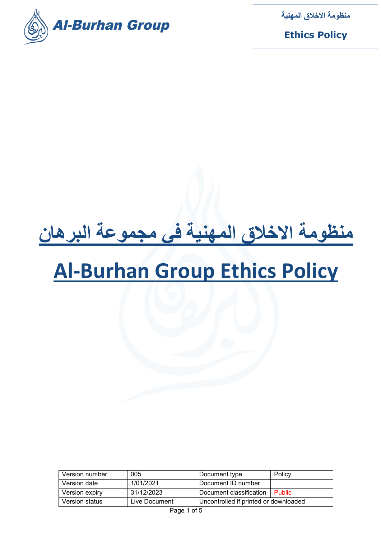

**Ethics Policy**

# **منظومة الاخلاق المھنیة في مجموعة البرھان**

## **Al-Burhan Group Ethics Policy**

| Version number | 005           | Document type                         | Policy        |
|----------------|---------------|---------------------------------------|---------------|
| Version date   | 1/01/2021     | Document ID number                    |               |
| Version expiry | 31/12/2023    | Document classification               | <b>Public</b> |
| Version status | Live Document | Uncontrolled if printed or downloaded |               |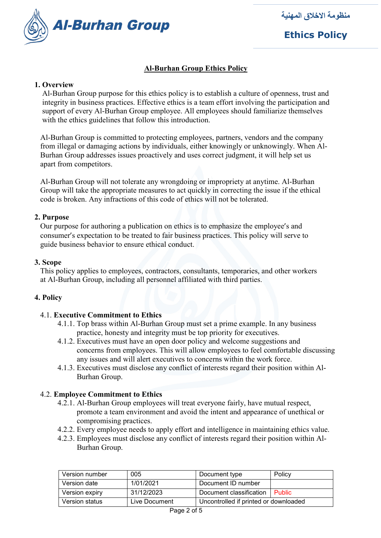

**Ethics Policy**

## **Al-Burhan Group Ethics Policy**

## **1. Overview**

 Al-Burhan Group purpose for this ethics policy is to establish a culture of openness, trust and integrity in business practices. Effective ethics is a team effort involving the participation and support of every Al-Burhan Group employee. All employees should familiarize themselves with the ethics guidelines that follow this introduction.

 Al-Burhan Group is committed to protecting employees, partners, vendors and the company from illegal or damaging actions by individuals, either knowingly or unknowingly. When Al- Burhan Group addresses issues proactively and uses correct judgment, it will help set us apart from competitors.

 Al-Burhan Group will not tolerate any wrongdoing or impropriety at anytime. Al-Burhan Group will take the appropriate measures to act quickly in correcting the issue if the ethical code is broken. Any infractions of this code of ethics will not be tolerated.

#### **2. Purpose**

 Our purpose for authoring a publication on ethics is to emphasize the employee's and consumer's expectation to be treated to fair business practices. This policy will serve to guide business behavior to ensure ethical conduct.

## **3. Scope**

 This policy applies to employees, contractors, consultants, temporaries, and other workers at Al-Burhan Group, including all personnel affiliated with third parties.

## **4. Policy**

## 4.1. **Executive Commitment to Ethics**

- 4.1.1. Top brass within Al-Burhan Group must set a prime example. In any business practice, honesty and integrity must be top priority for executives.
- 4.1.2. Executives must have an open door policy and welcome suggestions and concerns from employees. This will allow employees to feel comfortable discussing any issues and will alert executives to concerns within the work force.
- 4.1.3. Executives must disclose any conflict of interests regard their position within Al- Burhan Group.

## 4.2. **Employee Commitment to Ethics**

- 4.2.1. Al-Burhan Group employees will treat everyone fairly, have mutual respect, promote a team environment and avoid the intent and appearance of unethical or compromising practices.
- 4.2.2. Every employee needs to apply effort and intelligence in maintaining ethics value.
- 4.2.3. Employees must disclose any conflict of interests regard their position within Al- Burhan Group.

| Version number | 005           | Document type                         | Policy        |
|----------------|---------------|---------------------------------------|---------------|
| Version date   | 1/01/2021     | Document ID number                    |               |
| Version expiry | 31/12/2023    | Document classification               | <b>Public</b> |
| Version status | Live Document | Uncontrolled if printed or downloaded |               |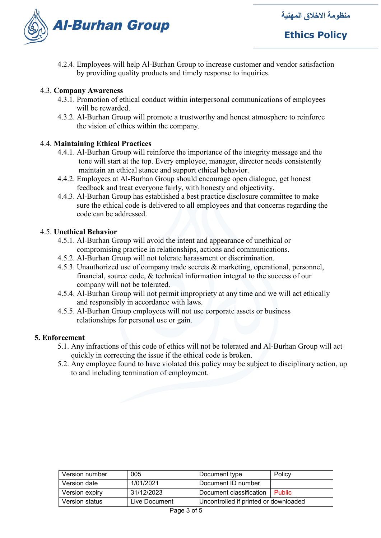

## **Ethics Policy**

4.2.4. Employees will help Al-Burhan Group to increase customer and vendor satisfaction by providing quality products and timely response to inquiries.

## 4.3. **Company Awareness**

- 4.3.1. Promotion of ethical conduct within interpersonal communications of employees will be rewarded.
- 4.3.2. Al-Burhan Group will promote a trustworthy and honest atmosphere to reinforce the vision of ethics within the company.

## 4.4. **Maintaining Ethical Practices**

- 4.4.1. Al-Burhan Group will reinforce the importance of the integrity message and the tone will start at the top. Every employee, manager, director needs consistently maintain an ethical stance and support ethical behavior.
- 4.4.2. Employees at Al-Burhan Group should encourage open dialogue, get honest feedback and treat everyone fairly, with honesty and objectivity.
- 4.4.3. Al-Burhan Group has established a best practice disclosure committee to make sure the ethical code is delivered to all employees and that concerns regarding the code can be addressed.

## 4.5. **Unethical Behavior**

- 4.5.1. Al-Burhan Group will avoid the intent and appearance of unethical or compromising practice in relationships, actions and communications.
- 4.5.2. Al-Burhan Group will not tolerate harassment or discrimination.
- 4.5.3. Unauthorized use of company trade secrets & marketing, operational, personnel, financial, source code, & technical information integral to the success of our company will not be tolerated.
- 4.5.4. Al-Burhan Group will not permit impropriety at any time and we will act ethically and responsibly in accordance with laws.
- 4.5.5. Al-Burhan Group employees will not use corporate assets or business relationships for personal use or gain.

## **5. Enforcement**

- 5.1. Any infractions of this code of ethics will not be tolerated and Al-Burhan Group will act quickly in correcting the issue if the ethical code is broken.
- 5.2. Any employee found to have violated this policy may be subject to disciplinary action, up to and including termination of employment.

| Version number | 005           | Document type                         | Policy        |
|----------------|---------------|---------------------------------------|---------------|
| Version date   | 1/01/2021     | Document ID number                    |               |
| Version expiry | 31/12/2023    | Document classification               | <b>Public</b> |
| Version status | Live Document | Uncontrolled if printed or downloaded |               |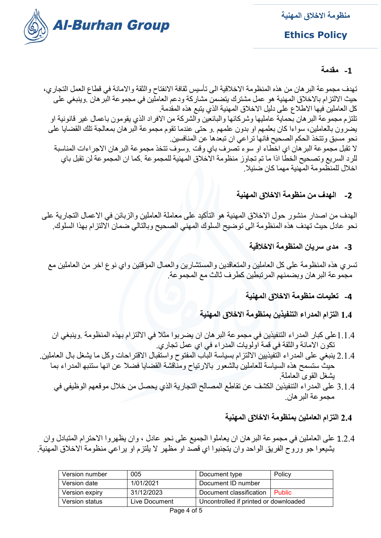

**Ethics Policy**

## **-1 مقدمة**

تھدف مجموعة البرھان من ھذه المنظومة الاخلاقیة الى تأسیس ثقافة الانفتاح والثقة والامانة في قطاع العمل التجاري، حیث الالتزام بالاخلاق المھنیة ھو عمل مشترك یتضمن مشاركة ودعم العاملین في مجموعة البرھان .وینبغي على كل العاملین فیھا الاطلاع على دلیل الاخلاق المھنیة الذي یتبع ھذه المقدمة. تلتزم مجموعة البرھان بحمایة عاملیھا وشركائھا والبائعین والشركة من الافراد الذي یقومون باعمال غیر قانونیة او یضرون بالعاملین، سواءا كان بعلمھم او بدون علمھم .و حتى عندما تقوم مجموعة البرھان بمعالجة تلك القضایا على نحو مسبق وتتخذ الحكم الصحیح فانھا تراعي ان تبعدھا عن المنافسین. لا تقبل مجموعة البرھان اي اخطاء او سوء تصرف باي وقت .وسوف تتخذ مجموعة البرھان الاجراءات المناسبة للرد السریع وتصحیح الخطا اذا ما تم تجاوز منظومة الاخلاق المھنیة للمجموعة .كما ان المجموعة لن تقبل باي اخلال للمنظمومة المھنیة مھما كان ضئیلا.

**-2 الھدف من منظومة الاخلاق المھنیة**

الھدف من اصدار منشور حول الاخلاق المھنیة ھو التأكید على معاملة العاملین والزبائن في الاعمال التجاریة على نحو عادل حیث تھدف ھذه المنظومة الى توضیح السلوك المھني الصحیح وبالتالي ضمان الالتزام بھذا السلوك.

**-3 مدى سریان المنظومة الاخلاقیة**

تسري ھذه المنظومة على كل العاملین والمتعاقدین والمستشارین والعمال المؤقتین واي نوع اخر من العاملین مع مجموعة البرھان وبضمنھم المرتبطین كطرف ثالث مع المجموعة.

**-4 تعلیمات منظومة الاخلاق المھنیة**

**1.4 التزام المدراء التنفیذین بمنظومة الاخلاق المھنیة**

- 1.1.4على كبار المدراء التنفیذین في مجموعة البرھان ان یضربوا مثلا في الالتزام بھذه المنظومة .وینبغي ان تكون الامانة والثقة في قمة اولویات المدراء في اي عمل تجاري.
- 2.1.4 ینبغي على المدراء التفیذیین الالتزام بسیاسة الباب المفتوح واستقبال الاقتراحات وكل ما یشغل بال العاملین. حیث ستسمح ھذه السیاسة للعاملین بالشعور بالارتیاح ومناقشة القضایا فضلا عن انھا ستنبھ المدراء بما یشغل القوى العاملة.
	- 3.1.4 على المدراء التنفیذین الكشف عن تقاطع المصالح التجاریة الذي یحصل من خلال موقعھم الوظیفي في مجموعة البرھان.

## **2.4 التزام العاملین بمنظومة الاخلاق المھنیة**

1.2.4 على العاملین في مجموعة البرھان ان یعاملوا الجمیع على نحو عادل ، وان یظھروا الاحترام المتبادل وان یشیعوا جو وروح الفریق الواحد وان یتجنبوا اي قصد او مظھر لا یلتزم او یراعي منظومة الاخلاق المھنیة.

| Version number | 005           | Document type                         | Policy   |
|----------------|---------------|---------------------------------------|----------|
| Version date   | 1/01/2021     | Document ID number                    |          |
| Version expiry | 31/12/2023    | Document classification               | ⊟ Public |
| Version status | Live Document | Uncontrolled if printed or downloaded |          |